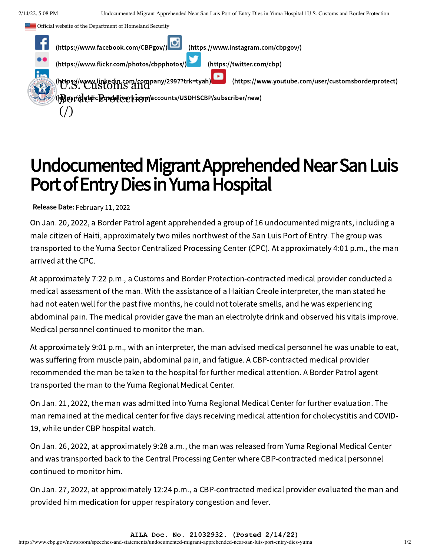Official website of the Department of Homeland Security



## Undocumented Migrant Apprehended Near San Luis Port of Entry Dies in Yuma Hospital

Release Date: February 11, 2022

On Jan. 20, 2022, a Border Patrol agent apprehended a group of 16 undocumented migrants, including a male citizen of Haiti, approximately two miles northwest of the San Luis Port of Entry. The group was transported to the Yuma Sector Centralized Processing Center (CPC). At approximately 4:01 p.m., the man arrived at the CPC.

At approximately 7:22 p.m., a Customs and Border Protection-contracted medical provider conducted a medical assessment of the man. With the assistance of a Haitian Creole interpreter, the man stated he had not eaten well for the past five months, he could not tolerate smells, and he was experiencing abdominal pain. The medical provider gave the man an electrolyte drink and observed his vitals improve. Medical personnel continued to monitor the man.

At approximately 9:01 p.m., with an interpreter, the man advised medical personnel he was unable to eat, was suffering from muscle pain, abdominal pain, and fatigue. A CBP-contracted medical provider recommended the man be taken to the hospital for further medical attention. A Border Patrol agent transported the man to the Yuma Regional Medical Center.

On Jan. 21, 2022, the man was admitted into Yuma Regional Medical Center for further evaluation. The man remained at the medical center for five days receiving medical attention for cholecystitis and COVID-19, while under CBP hospital watch.

On Jan. 26, 2022, at approximately 9:28 a.m., the man was released from Yuma Regional Medical Center and was transported back to the Central Processing Center where CBP-contracted medical personnel continued to monitor him.

On Jan. 27, 2022, at approximately 12:24 p.m., a CBP-contracted medical provider evaluated the man and provided him medication for upper respiratory congestion and fever.